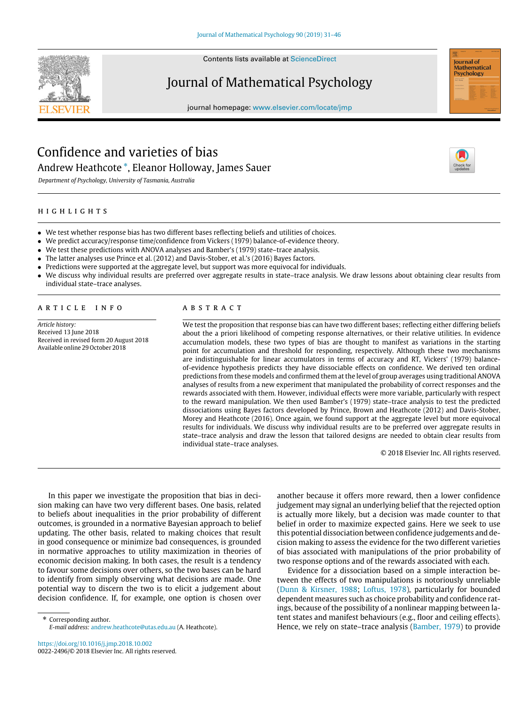

Contents lists available at [ScienceDirect](http://www.elsevier.com/locate/jmp)

# Journal of Mathematical Psychology

journal homepage: [www.elsevier.com/locate/jmp](http://www.elsevier.com/locate/jmp)



# Confidence and varieties of bias

Andrew Heathcote \*, Eleanor Holloway, James Sauer

*Department of Psychology, University of Tasmania, Australia*

# h i g h l i g h t s

- We test whether response bias has two different bases reflecting beliefs and utilities of choices.
- We predict accuracy/response time/confidence from Vickers (1979) balance-of-evidence theory.
- We test these predictions with ANOVA analyses and Bamber's (1979) state–trace analysis.
- The latter analyses use Prince et al. (2012) and Davis-Stober, et al.'s (2016) Bayes factors.
- Predictions were supported at the aggregate level, but support was more equivocal for individuals.
- We discuss why individual results are preferred over aggregate results in state–trace analysis. We draw lessons about obtaining clear results from individual state–trace analyses.

#### ARTICLE INFO

*Article history:* Received 13 June 2018 Received in revised form 20 August 2018 Available online 29 October 2018

#### a b s t r a c t

We test the proposition that response bias can have two different bases; reflecting either differing beliefs about the a priori likelihood of competing response alternatives, or their relative utilities. In evidence accumulation models, these two types of bias are thought to manifest as variations in the starting point for accumulation and threshold for responding, respectively. Although these two mechanisms are indistinguishable for linear accumulators in terms of accuracy and RT, Vickers' (1979) balanceof-evidence hypothesis predicts they have dissociable effects on confidence. We derived ten ordinal predictions from these models and confirmed them at the level of group averages using traditional ANOVA analyses of results from a new experiment that manipulated the probability of correct responses and the rewards associated with them. However, individual effects were more variable, particularly with respect to the reward manipulation. We then used Bamber's (1979) state–trace analysis to test the predicted dissociations using Bayes factors developed by Prince, Brown and Heathcote (2012) and Davis-Stober, Morey and Heathcote (2016). Once again, we found support at the aggregate level but more equivocal results for individuals. We discuss why individual results are to be preferred over aggregate results in state–trace analysis and draw the lesson that tailored designs are needed to obtain clear results from individual state–trace analyses.

© 2018 Elsevier Inc. All rights reserved.

In this paper we investigate the proposition that bias in decision making can have two very different bases. One basis, related to beliefs about inequalities in the prior probability of different outcomes, is grounded in a normative Bayesian approach to belief updating. The other basis, related to making choices that result in good consequence or minimize bad consequences, is grounded in normative approaches to utility maximization in theories of economic decision making. In both cases, the result is a tendency to favour some decisions over others, so the two bases can be hard to identify from simply observing what decisions are made. One potential way to discern the two is to elicit a judgement about decision confidence. If, for example, one option is chosen over

\* Corresponding author.

<https://doi.org/10.1016/j.jmp.2018.10.002> 0022-2496/© 2018 Elsevier Inc. All rights reserved. another because it offers more reward, then a lower confidence judgement may signal an underlying belief that the rejected option is actually more likely, but a decision was made counter to that belief in order to maximize expected gains. Here we seek to use this potential dissociation between confidence judgements and decision making to assess the evidence for the two different varieties of bias associated with manipulations of the prior probability of two response options and of the rewards associated with each.

Evidence for a dissociation based on a simple interaction between the effects of two manipulations is notoriously unreliable (Dunn & Kirsner, 1988; Loftus, 1978), particularly for bounded dependent measures such as choice probability and confidence ratings, because of the possibility of a nonlinear mapping between latent states and manifest behaviours (e.g., floor and ceiling effects). Hence, we rely on state–trace analysis (Bamber, 1979) to provide

*E-mail address:* [andrew.heathcote@utas.edu.au](mailto:andrew.heathcote@utas.edu.au) (A. Heathcote).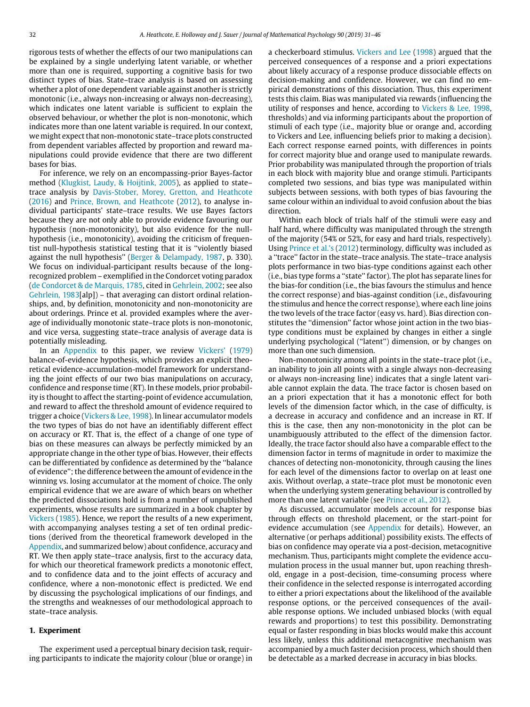rigorous tests of whether the effects of our two manipulations can be explained by a single underlying latent variable, or whether more than one is required, supporting a cognitive basis for two distinct types of bias. State–trace analysis is based on assessing whether a plot of one dependent variable against another is strictly monotonic (i.e., always non-increasing or always non-decreasing), which indicates one latent variable is sufficient to explain the observed behaviour, or whether the plot is non-monotonic, which indicates more than one latent variable is required. In our context, we might expect that non-monotonic state–trace plots constructed from dependent variables affected by proportion and reward manipulations could provide evidence that there are two different bases for bias.

For inference, we rely on an encompassing-prior Bayes-factor method (Klugkist, Laudy, & Hoijtink, 2005), as applied to state– trace analysis by Davis-Stober, Morey, Gretton, and Heathcote (2016) and Prince, Brown, and Heathcote (2012), to analyse individual participants' state–trace results. We use Bayes factors because they are not only able to provide evidence favouring our hypothesis (non-monotonicity), but also evidence for the nullhypothesis (i.e., monotonicity), avoiding the criticism of frequentist null-hypothesis statistical testing that it is ''violently biased against the null hypothesis'' (Berger & Delampady, 1987, p. 330). We focus on individual-participant results because of the longrecognized problem – exemplified in the Condorcet voting paradox (de Condorcet & de Marquis, 1785, cited in Gehrlein, 2002; see also Gehrlein, 1983[alp]) – that averaging can distort ordinal relationships, and, by definition, monotonicity and non-monotonicity are about orderings. Prince et al. provided examples where the average of individually monotonic state–trace plots is non-monotonic, and vice versa, suggesting state–trace analysis of average data is potentially misleading.

In an Appendix to this paper, we review Vickers' (1979) balance-of-evidence hypothesis, which provides an explicit theoretical evidence-accumulation-model framework for understanding the joint effects of our two bias manipulations on accuracy, confidence and response time (RT). In these models, prior probability is thought to affect the starting-point of evidence accumulation, and reward to affect the threshold amount of evidence required to trigger a choice (Vickers & Lee, 1998). In linear accumulator models the two types of bias do not have an identifiably different effect on accuracy or RT. That is, the effect of a change of one type of bias on these measures can always be perfectly mimicked by an appropriate change in the other type of bias. However, their effects can be differentiated by confidence as determined by the ''balance of evidence''; the difference between the amount of evidence in the winning vs. losing accumulator at the moment of choice. The only empirical evidence that we are aware of which bears on whether the predicted dissociations hold is from a number of unpublished experiments, whose results are summarized in a book chapter by Vickers (1985). Hence, we report the results of a new experiment, with accompanying analyses testing a set of ten ordinal predictions (derived from the theoretical framework developed in the Appendix, and summarized below) about confidence, accuracy and RT. We then apply state–trace analysis, first to the accuracy data, for which our theoretical framework predicts a monotonic effect, and to confidence data and to the joint effects of accuracy and confidence, where a non-monotonic effect is predicted. We end by discussing the psychological implications of our findings, and the strengths and weaknesses of our methodological approach to state–trace analysis.

#### **1. Experiment**

The experiment used a perceptual binary decision task, requiring participants to indicate the majority colour (blue or orange) in a checkerboard stimulus. Vickers and Lee (1998) argued that the perceived consequences of a response and a priori expectations about likely accuracy of a response produce dissociable effects on decision-making and confidence. However, we can find no empirical demonstrations of this dissociation. Thus, this experiment tests this claim. Bias was manipulated via rewards (influencing the utility of responses and hence, according to Vickers & Lee, 1998, thresholds) and via informing participants about the proportion of stimuli of each type (i.e., majority blue or orange and, according to Vickers and Lee, influencing beliefs prior to making a decision). Each correct response earned points, with differences in points for correct majority blue and orange used to manipulate rewards. Prior probability was manipulated through the proportion of trials in each block with majority blue and orange stimuli. Participants completed two sessions, and bias type was manipulated within subjects between sessions, with both types of bias favouring the same colour within an individual to avoid confusion about the bias direction.

Within each block of trials half of the stimuli were easy and half hard, where difficulty was manipulated through the strength of the majority (54% or 52%, for easy and hard trials, respectively). Using Prince et al.'s (2012) terminology, difficulty was included as a ''trace'' factor in the state–trace analysis. The state–trace analysis plots performance in two bias-type conditions against each other (i.e., bias type forms a ''state'' factor). The plot has separate lines for the bias-for condition (i.e., the bias favours the stimulus and hence the correct response) and bias-against condition (i.e., disfavouring the stimulus and hence the correct response), where each line joins the two levels of the trace factor (easy vs. hard). Bias direction constitutes the ''dimension'' factor whose joint action in the two biastype conditions must be explained by changes in either a single underlying psychological (''latent'') dimension, or by changes on more than one such dimension.

Non-monotonicity among all points in the state–trace plot (i.e., an inability to join all points with a single always non-decreasing or always non-increasing line) indicates that a single latent variable cannot explain the data. The trace factor is chosen based on an a priori expectation that it has a monotonic effect for both levels of the dimension factor which, in the case of difficulty, is a decrease in accuracy and confidence and an increase in RT. If this is the case, then any non-monotonicity in the plot can be unambiguously attributed to the effect of the dimension factor. Ideally, the trace factor should also have a comparable effect to the dimension factor in terms of magnitude in order to maximize the chances of detecting non-monotonicity, through causing the lines for each level of the dimensions factor to overlap on at least one axis. Without overlap, a state–trace plot must be monotonic even when the underlying system generating behaviour is controlled by more than one latent variable (see Prince et al., 2012).

As discussed, accumulator models account for response bias through effects on threshold placement, or the start-point for evidence accumulation (see Appendix for details). However, an alternative (or perhaps additional) possibility exists. The effects of bias on confidence may operate via a post-decision, metacognitive mechanism. Thus, participants might complete the evidence accumulation process in the usual manner but, upon reaching threshold, engage in a post-decision, time-consuming process where their confidence in the selected response is interrogated according to either a priori expectations about the likelihood of the available response options, or the perceived consequences of the available response options. We included unbiased blocks (with equal rewards and proportions) to test this possibility. Demonstrating equal or faster responding in bias blocks would make this account less likely, unless this additional metacognitive mechanism was accompanied by a much faster decision process, which should then be detectable as a marked decrease in accuracy in bias blocks.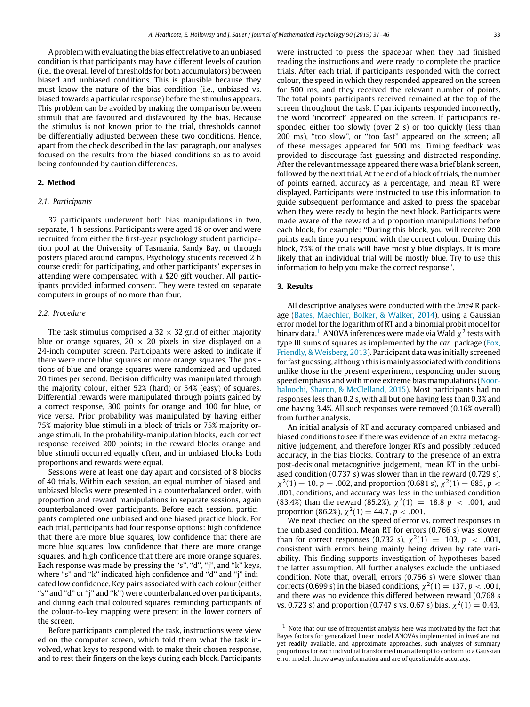A problem with evaluating the bias effect relative to an unbiased condition is that participants may have different levels of caution (i.e., the overall level of thresholds for both accumulators) between biased and unbiased conditions. This is plausible because they must know the nature of the bias condition (i.e., unbiased vs. biased towards a particular response) before the stimulus appears. This problem can be avoided by making the comparison between stimuli that are favoured and disfavoured by the bias. Because the stimulus is not known prior to the trial, thresholds cannot be differentially adjusted between these two conditions. Hence, apart from the check described in the last paragraph, our analyses focused on the results from the biased conditions so as to avoid being confounded by caution differences.

### **2. Method**

# *2.1. Participants*

32 participants underwent both bias manipulations in two, separate, 1-h sessions. Participants were aged 18 or over and were recruited from either the first-year psychology student participation pool at the University of Tasmania, Sandy Bay, or through posters placed around campus. Psychology students received 2 h course credit for participating, and other participants' expenses in attending were compensated with a \$20 gift voucher. All participants provided informed consent. They were tested on separate computers in groups of no more than four.

#### *2.2. Procedure*

The task stimulus comprised a  $32 \times 32$  grid of either majority blue or orange squares,  $20 \times 20$  pixels in size displayed on a 24-inch computer screen. Participants were asked to indicate if there were more blue squares or more orange squares. The positions of blue and orange squares were randomized and updated 20 times per second. Decision difficulty was manipulated through the majority colour, either 52% (hard) or 54% (easy) of squares. Differential rewards were manipulated through points gained by a correct response, 300 points for orange and 100 for blue, or vice versa. Prior probability was manipulated by having either 75% majority blue stimuli in a block of trials or 75% majority orange stimuli. In the probability-manipulation blocks, each correct response received 200 points; in the reward blocks orange and blue stimuli occurred equally often, and in unbiased blocks both proportions and rewards were equal.

Sessions were at least one day apart and consisted of 8 blocks of 40 trials. Within each session, an equal number of biased and unbiased blocks were presented in a counterbalanced order, with proportion and reward manipulations in separate sessions, again counterbalanced over participants. Before each session, participants completed one unbiased and one biased practice block. For each trial, participants had four response options: high confidence that there are more blue squares, low confidence that there are more blue squares, low confidence that there are more orange squares, and high confidence that there are more orange squares. Each response was made by pressing the "s", "d", "j", and "k" keys, where "s" and "k" indicated high confidence and "d" and "j" indicated low confidence. Key pairs associated with each colour (either ''s'' and ''d'' or ''j'' and ''k'') were counterbalanced over participants, and during each trial coloured squares reminding participants of the colour-to-key mapping were present in the lower corners of the screen.

Before participants completed the task, instructions were view ed on the computer screen, which told them what the task involved, what keys to respond with to make their chosen response, and to rest their fingers on the keys during each block. Participants were instructed to press the spacebar when they had finished reading the instructions and were ready to complete the practice trials. After each trial, if participants responded with the correct colour, the speed in which they responded appeared on the screen for 500 ms, and they received the relevant number of points. The total points participants received remained at the top of the screen throughout the task. If participants responded incorrectly, the word 'incorrect' appeared on the screen. If participants responded either too slowly (over 2 s) or too quickly (less than 200 ms), ''too slow'', or ''too fast'' appeared on the screen; all of these messages appeared for 500 ms. Timing feedback was provided to discourage fast guessing and distracted responding. After the relevant message appeared there was a brief blank screen, followed by the next trial. At the end of a block of trials, the number of points earned, accuracy as a percentage, and mean RT were displayed. Participants were instructed to use this information to guide subsequent performance and asked to press the spacebar when they were ready to begin the next block. Participants were made aware of the reward and proportion manipulations before each block, for example: ''During this block, you will receive 200 points each time you respond with the correct colour. During this block, 75% of the trials will have mostly blue displays. It is more likely that an individual trial will be mostly blue. Try to use this information to help you make the correct response''.

#### **3. Results**

All descriptive analyses were conducted with the *lme4* R package (Bates, Maechler, Bolker, & Walker, 2014), using a Gaussian error model for the logarithm of RT and a binomial probit model for binary data.<sup>1</sup> ANOVA inferences were made via Wald  $\chi^2$  tests with type III sums of squares as implemented by the *car* package (Fox, Friendly, & Weisberg, 2013). Participant data was initially screened for fast guessing, although this is mainly associated with conditions unlike those in the present experiment, responding under strong speed emphasis and with more extreme bias manipulations (Noorbaloochi, Sharon, & McClelland, 2015). Most participants had no responses less than 0.2 s, with all but one having less than 0.3% and one having 3.4%. All such responses were removed (0.16% overall) from further analysis.

An initial analysis of RT and accuracy compared unbiased and biased conditions to see if there was evidence of an extra metacognitive judgement, and therefore longer RTs and possibly reduced accuracy, in the bias blocks. Contrary to the presence of an extra post-decisional metacognitive judgement, mean RT in the unbiased condition (0.737 s) was slower than in the reward (0.729 s),  $\chi^2(1) = 10, p = .002$ , and proportion (0.681 s),  $\chi^2(1) = 685, p <$ .001, conditions, and accuracy was less in the unbiased condition (83.4%) than the reward (85.2%),  $\chi^2(1) = 18.8 \, p \, < .001$ , and proportion (86.2%),  $\chi^2(1) = 44.7$ ,  $p < .001$ .

We next checked on the speed of error vs. correct responses in the unbiased condition. Mean RT for errors (0.766 s) was slower than for correct responses (0.732 s),  $\chi^2(1) = 103$ ,  $p < .001$ , consistent with errors being mainly being driven by rate variability. This finding supports investigation of hypotheses based the latter assumption. All further analyses exclude the unbiased condition. Note that, overall, errors (0.756 s) were slower than corrects (0.699 s) in the biased conditions,  $\chi^2(1) = 137$ , *p* < .001, and there was no evidence this differed between reward (0.768 s vs. 0.723 s) and proportion (0.747 s vs. 0.67 s) bias,  $\chi^2(1) = 0.43$ ,

 $1$  Note that our use of frequentist analysis here was motivated by the fact that Bayes factors for generalized linear model ANOVAs implemented in *lme4* are not yet readily available, and approximate approaches, such analyses of summary proportions for each individual transformed in an attempt to conform to a Gaussian error model, throw away information and are of questionable accuracy.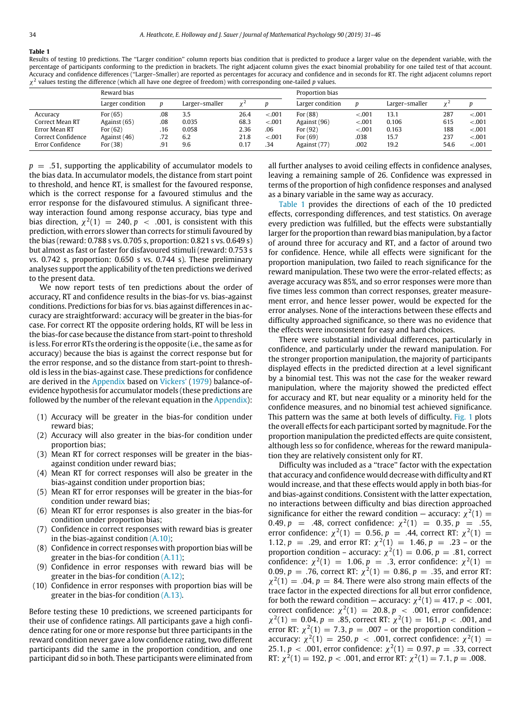# **Table 1**

Results of testing 10 predictions. The ''Larger condition'' column reports bias condition that is predicted to produce a larger value on the dependent variable, with the percentage of participants conforming to the prediction in brackets. The right adjacent column gives the exact binomial probability for one tailed test of that account. Accuracy and confidence differences (''Larger–Smaller) are reported as percentages for accuracy and confidence and in seconds for RT. The right adjacent columns report χ 2 values testing the difference (which all have one degree of freedom) with corresponding one-tailed *p* values.

|                    | Reward bias      |     |                |            |         | Proportion bias  |         |                |        |         |
|--------------------|------------------|-----|----------------|------------|---------|------------------|---------|----------------|--------|---------|
|                    | Larger condition |     | Larger-smaller | $\gamma^2$ |         | Larger condition |         | Larger-smaller | $\sim$ |         |
| Accuracy           | For $(65)$       | .08 | 3.5            | 26.4       | < 0.001 | For (88)         | $-.001$ | 13.1           | 287    | $-.001$ |
| Correct Mean RT    | Against (65)     | .08 | 0.035          | 68.3       | < 0.001 | Against (96)     | < .001  | 0.106          | 615    | $-.001$ |
| Error Mean RT      | For $(62)$       | .16 | 0.058          | 2.36       | .06     | For (92)         | < .001  | 0.163          | 188    | $-.001$ |
| Correct Confidence | Against (46)     | .72 | 6.2            | 21.8       | < 0.001 | For (69)         | .038    | 15.7           | 237    | $-.001$ |
| Error Confidence   | For (38)         | .91 | 9.6            | 0.17       | .34     | Against (77)     | .002    | 19.2           | 54.6   | < 0.001 |

 $p = .51$ , supporting the applicability of accumulator models to the bias data. In accumulator models, the distance from start point to threshold, and hence RT, is smallest for the favoured response, which is the correct response for a favoured stimulus and the error response for the disfavoured stimulus. A significant threeway interaction found among response accuracy, bias type and bias direction,  $\chi^2(1) = 240, p < .001$ , is consistent with this prediction, with errors slower than corrects for stimuli favoured by the bias (reward: 0.788 s vs. 0.705 s, proportion: 0.821 s vs. 0.649 s) but almost as fast or faster for disfavoured stimuli (reward: 0.753 s vs. 0.742 s, proportion: 0.650 s vs. 0.744 s). These preliminary analyses support the applicability of the ten predictions we derived to the present data.

We now report tests of ten predictions about the order of accuracy, RT and confidence results in the bias-for vs. bias-against conditions. Predictions for bias for vs. bias against differences in accuracy are straightforward: accuracy will be greater in the bias-for case. For correct RT the opposite ordering holds, RT will be less in the bias-for case because the distance from start-point to threshold is less. For error RTs the ordering is the opposite (i.e., the same as for accuracy) because the bias is against the correct response but for the error response, and so the distance from start-point to threshold is less in the bias-against case. These predictions for confidence are derived in the Appendix based on Vickers' (1979) balance-ofevidence hypothesis for accumulator models (these predictions are followed by the number of the relevant equation in the Appendix):

- (1) Accuracy will be greater in the bias-for condition under reward bias;
- (2) Accuracy will also greater in the bias-for condition under proportion bias;
- (3) Mean RT for correct responses will be greater in the biasagainst condition under reward bias;
- (4) Mean RT for correct responses will also be greater in the bias-against condition under proportion bias;
- (5) Mean RT for error responses will be greater in the bias-for condition under reward bias;
- (6) Mean RT for error responses is also greater in the bias-for condition under proportion bias;
- (7) Confidence in correct responses with reward bias is greater in the bias-against condition (A.10);
- (8) Confidence in correct responses with proportion bias will be greater in the bias-for condition (A.11);
- (9) Confidence in error responses with reward bias will be greater in the bias-for condition (A.12);
- (10) Confidence in error responses with proportion bias will be greater in the bias-for condition (A.13).

Before testing these 10 predictions, we screened participants for their use of confidence ratings. All participants gave a high confidence rating for one or more response but three participants in the reward condition never gave a low confidence rating, two different participants did the same in the proportion condition, and one participant did so in both. These participants were eliminated from all further analyses to avoid ceiling effects in confidence analyses, leaving a remaining sample of 26. Confidence was expressed in terms of the proportion of high confidence responses and analysed as a binary variable in the same way as accuracy.

Table 1 provides the directions of each of the 10 predicted effects, corresponding differences, and test statistics. On average every prediction was fulfilled, but the effects were substantially larger for the proportion than reward bias manipulation, by a factor of around three for accuracy and RT, and a factor of around two for confidence. Hence, while all effects were significant for the proportion manipulation, two failed to reach significance for the reward manipulation. These two were the error-related effects; as average accuracy was 85%, and so error responses were more than five times less common than correct responses, greater measurement error, and hence lesser power, would be expected for the error analyses. None of the interactions between these effects and difficulty approached significance, so there was no evidence that the effects were inconsistent for easy and hard choices.

There were substantial individual differences, particularly in confidence, and particularly under the reward manipulation. For the stronger proportion manipulation, the majority of participants displayed effects in the predicted direction at a level significant by a binomial test. This was not the case for the weaker reward manipulation, where the majority showed the predicted effect for accuracy and RT, but near equality or a minority held for the confidence measures, and no binomial test achieved significance. This pattern was the same at both levels of difficulty. Fig. 1 plots the overall effects for each participant sorted by magnitude. For the proportion manipulation the predicted effects are quite consistent, although less so for confidence, whereas for the reward manipulation they are relatively consistent only for RT.

Difficulty was included as a ''trace'' factor with the expectation that accuracy and confidence would decrease with difficulty and RT would increase, and that these effects would apply in both bias-for and bias-against conditions. Consistent with the latter expectation, no interactions between difficulty and bias direction approached significance for either the reward condition – accuracy:  $\chi^2(1)$  = 0.49,  $p = .48$ , correct confidence:  $\chi^2(1) = 0.35, p = .55$ , error confidence:  $\chi^2(1) = 0.56, p = .44$ , correct RT:  $\chi^2(1) =$ 1.12,  $p = 0.29$ , and error RT:  $\chi^2(1) = 1.46$ ,  $p = 0.23 - 0$  the proportion condition – accuracy:  $\chi^2(1) = 0.06, p = .81$ , correct confidence:  $\chi^2(1) = 1.06, p = .3$ , error confidence:  $\chi^2(1) =$ 0.09,  $p = .76$ , correct RT:  $\chi^2(1) = 0.86$ ,  $p = .35$ , and error RT:  $\chi^2(1) = .04$ ,  $p = 84$ . There were also strong main effects of the trace factor in the expected directions for all but error confidence, for both the reward condition – accuracy:  $\chi^2(1) = 417$ ,  $p < .001$ , correct confidence:  $\chi^2(1) = 20.8, p < .001$ , error confidence:  $\chi^2(1) = 0.04, p = .85$ , correct RT:  $\chi^2(1) = 161, p < .001$ , and error RT:  $\chi^2(1) = 7.3$ ,  $p = .007$  – or the proportion condition – accuracy:  $\chi^2(1) = 250, p < .001$ , correct confidence:  $\chi^2(1) =$ 25.1,  $p < .001$ , error confidence:  $\chi^2(1) = 0.97$ ,  $p = .33$ , correct RT:  $\chi^2(1) = 192$ ,  $p < .001$ , and error RT:  $\chi^2(1) = 7.1$ ,  $p = .008$ .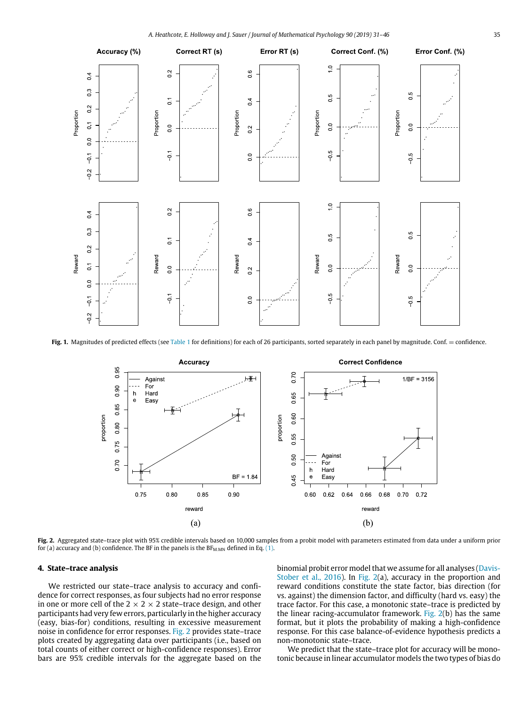

Fig. 1. Magnitudes of predicted effects (see Table 1 for definitions) for each of 26 participants, sorted separately in each panel by magnitude. Conf. = confidence.



**Fig. 2.** Aggregated state–trace plot with 95% credible intervals based on 10,000 samples from a probit model with parameters estimated from data under a uniform prior for (a) accuracy and (b) confidence. The BF in the panels is the  $BF_{M,MN}$  defined in Eq. (1).

#### **4. State–trace analysis**

We restricted our state–trace analysis to accuracy and confidence for correct responses, as four subjects had no error response in one or more cell of the  $2 \times 2 \times 2$  state–trace design, and other participants had very few errors, particularly in the higher accuracy (easy, bias-for) conditions, resulting in excessive measurement noise in confidence for error responses. Fig. 2 provides state–trace plots created by aggregating data over participants (i.e., based on total counts of either correct or high-confidence responses). Error bars are 95% credible intervals for the aggregate based on the binomial probit error model that we assume for all analyses (Davis-Stober et al., 2016). In Fig. 2(a), accuracy in the proportion and reward conditions constitute the state factor, bias direction (for vs. against) the dimension factor, and difficulty (hard vs. easy) the trace factor. For this case, a monotonic state–trace is predicted by the linear racing-accumulator framework. Fig. 2(b) has the same format, but it plots the probability of making a high-confidence response. For this case balance-of-evidence hypothesis predicts a non-monotonic state–trace.

We predict that the state–trace plot for accuracy will be monotonic because in linear accumulator models the two types of bias do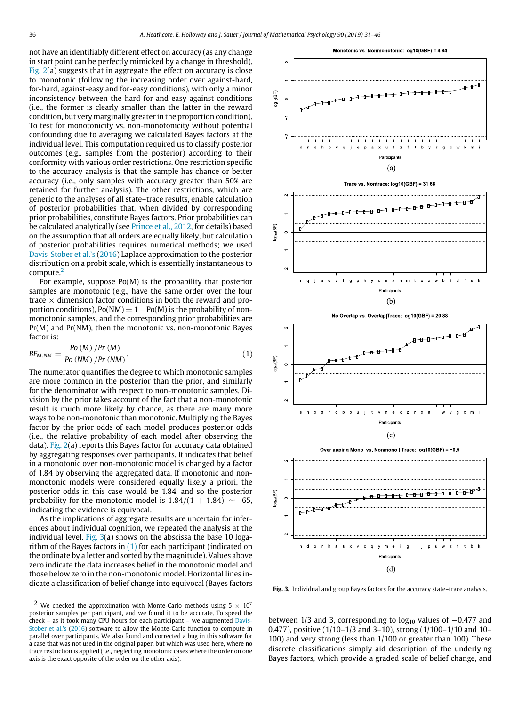not have an identifiably different effect on accuracy (as any change in start point can be perfectly mimicked by a change in threshold). Fig. 2(a) suggests that in aggregate the effect on accuracy is close to monotonic (following the increasing order over against-hard, for-hard, against-easy and for-easy conditions), with only a minor inconsistency between the hard-for and easy-against conditions (i.e., the former is clearly smaller than the latter in the reward condition, but very marginally greater in the proportion condition). To test for monotonicity vs. non-monotonicity without potential confounding due to averaging we calculated Bayes factors at the individual level. This computation required us to classify posterior outcomes (e.g., samples from the posterior) according to their conformity with various order restrictions. One restriction specific to the accuracy analysis is that the sample has chance or better accuracy (i.e., only samples with accuracy greater than 50% are retained for further analysis). The other restrictions, which are generic to the analyses of all state–trace results, enable calculation of posterior probabilities that, when divided by corresponding prior probabilities, constitute Bayes factors. Prior probabilities can be calculated analytically (see Prince et al., 2012, for details) based on the assumption that all orders are equally likely, but calculation of posterior probabilities requires numerical methods; we used Davis-Stober et al.'s (2016) Laplace approximation to the posterior distribution on a probit scale, which is essentially instantaneous to compute.<sup>2</sup>

For example, suppose Po(M) is the probability that posterior samples are monotonic (e.g., have the same order over the four trace  $\times$  dimension factor conditions in both the reward and proportion conditions),  $Po(NM) = 1 - Po(M)$  is the probability of nonmonotonic samples, and the corresponding prior probabilities are Pr(M) and Pr(NM), then the monotonic vs. non-monotonic Bayes factor is:

$$
BF_{M,NM} = \frac{Po\left(M\right)/Pr\left(M\right)}{Po\left(NM\right)/Pr\left(NM\right)}.\tag{1}
$$

The numerator quantifies the degree to which monotonic samples are more common in the posterior than the prior, and similarly for the denominator with respect to non-monotonic samples. Division by the prior takes account of the fact that a non-monotonic result is much more likely by chance, as there are many more ways to be non-monotonic than monotonic. Multiplying the Bayes factor by the prior odds of each model produces posterior odds (i.e., the relative probability of each model after observing the data). Fig. 2(a) reports this Bayes factor for accuracy data obtained by aggregating responses over participants. It indicates that belief in a monotonic over non-monotonic model is changed by a factor of 1.84 by observing the aggregated data. If monotonic and nonmonotonic models were considered equally likely a priori, the posterior odds in this case would be 1.84, and so the posterior probability for the monotonic model is  $1.84/(1 + 1.84) \sim .65$ , indicating the evidence is equivocal.

As the implications of aggregate results are uncertain for inferences about individual cognition, we repeated the analysis at the individual level. Fig. 3(a) shows on the abscissa the base 10 logarithm of the Bayes factors in  $(1)$  for each participant (indicated on the ordinate by a letter and sorted by the magnitude). Values above zero indicate the data increases belief in the monotonic model and those below zero in the non-monotonic model. Horizontal lines indicate a classification of belief change into equivocal (Bayes factors

<sup>&</sup>lt;sup>2</sup> We checked the approximation with Monte-Carlo methods using  $5 \times 10^7$ posterior samples per participant, and we found it to be accurate. To speed the check – as it took many CPU hours for each participant – we augmented Davis-Stober et al.'s (2016) software to allow the Monte-Carlo function to compute in parallel over participants. We also found and corrected a bug in this software for a case that was not used in the original paper, but which was used here, where no trace restriction is applied (i.e., neglecting monotonic cases where the order on one axis is the exact opposite of the order on the other axis).



**Fig. 3.** Individual and group Bayes factors for the accuracy state–trace analysis.

between 1/3 and 3, corresponding to  $log_{10}$  values of  $-0.477$  and 0.477), positive (1/10–1/3 and 3–10), strong (1/100–1/10 and 10– 100) and very strong (less than 1/100 or greater than 100). These discrete classifications simply aid description of the underlying Bayes factors, which provide a graded scale of belief change, and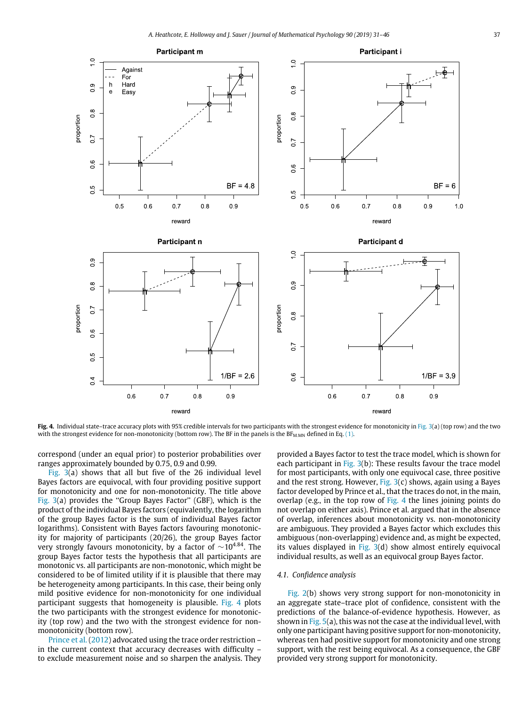

Fig. 4. Individual state-trace accuracy plots with 95% credible intervals for two participants with the strongest evidence for monotonicity in Fig. 3(a) (top row) and the two with the strongest evidence for non-monotonicity (bottom row). The BF in the panels is the BF<sub>M MN</sub> defined in Eq. (1).

correspond (under an equal prior) to posterior probabilities over ranges approximately bounded by 0.75, 0.9 and 0.99.

Fig. 3(a) shows that all but five of the 26 individual level Bayes factors are equivocal, with four providing positive support for monotonicity and one for non-monotonicity. The title above Fig. 3(a) provides the ''Group Bayes Factor'' (GBF), which is the product of the individual Bayes factors (equivalently, the logarithm of the group Bayes factor is the sum of individual Bayes factor logarithms). Consistent with Bayes factors favouring monotonicity for majority of participants (20/26), the group Bayes factor very strongly favours monotonicity, by a factor of  $\sim$ 10<sup>4.84</sup>. The group Bayes factor tests the hypothesis that all participants are monotonic vs. all participants are non-monotonic, which might be considered to be of limited utility if it is plausible that there may be heterogeneity among participants. In this case, their being only mild positive evidence for non-monotonicity for one individual participant suggests that homogeneity is plausible. Fig. 4 plots the two participants with the strongest evidence for monotonicity (top row) and the two with the strongest evidence for nonmonotonicity (bottom row).

Prince et al. (2012) advocated using the trace order restriction – in the current context that accuracy decreases with difficulty – to exclude measurement noise and so sharpen the analysis. They provided a Bayes factor to test the trace model, which is shown for each participant in Fig. 3(b): These results favour the trace model for most participants, with only one equivocal case, three positive and the rest strong. However, Fig.  $3(c)$  shows, again using a Bayes factor developed by Prince et al., that the traces do not, in the main, overlap (e.g., in the top row of Fig. 4 the lines joining points do not overlap on either axis). Prince et al. argued that in the absence of overlap, inferences about monotonicity vs. non-monotonicity are ambiguous. They provided a Bayes factor which excludes this ambiguous (non-overlapping) evidence and, as might be expected, its values displayed in Fig. 3(d) show almost entirely equivocal individual results, as well as an equivocal group Bayes factor.

#### *4.1. Confidence analysis*

Fig. 2(b) shows very strong support for non-monotonicity in an aggregate state–trace plot of confidence, consistent with the predictions of the balance-of-evidence hypothesis. However, as shown in Fig. 5(a), this was not the case at the individual level, with only one participant having positive support for non-monotonicity, whereas ten had positive support for monotonicity and one strong support, with the rest being equivocal. As a consequence, the GBF provided very strong support for monotonicity.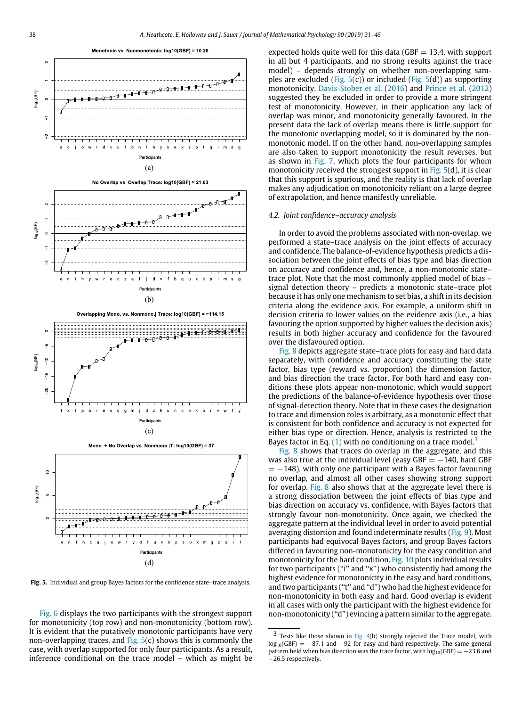

**Fig. 5.** Individual and group Bayes factors for the confidence state–trace analysis.

Fig. 6 displays the two participants with the strongest support for monotonicity (top row) and non-monotonicity (bottom row). It is evident that the putatively monotonic participants have very non-overlapping traces, and  $Fig. 5(c)$  shows this is commonly the case, with overlap supported for only four participants. As a result, inference conditional on the trace model – which as might be

expected holds quite well for this data ( $GBF = 13.4$ , with support in all but 4 participants, and no strong results against the trace model) – depends strongly on whether non-overlapping samples are excluded (Fig.  $5(c)$ ) or included (Fig.  $5(d)$ ) as supporting monotonicity. Davis-Stober et al. (2016) and Prince et al. (2012) suggested they be excluded in order to provide a more stringent test of monotonicity. However, in their application any lack of overlap was minor, and monotonicity generally favoured. In the present data the lack of overlap means there is little support for the monotonic overlapping model, so it is dominated by the nonmonotonic model. If on the other hand, non-overlapping samples are also taken to support monotonicity the result reverses, but as shown in Fig. 7, which plots the four participants for whom monotonicity received the strongest support in  $Fig. 5(d)$ , it is clear that this support is spurious, and the reality is that lack of overlap makes any adjudication on monotonicity reliant on a large degree of extrapolation, and hence manifestly unreliable.

# *4.2. Joint confidence–accuracy analysis*

In order to avoid the problems associated with non-overlap, we performed a state–trace analysis on the joint effects of accuracy and confidence. The balance-of-evidence hypothesis predicts a dissociation between the joint effects of bias type and bias direction on accuracy and confidence and, hence, a non-monotonic state– trace plot. Note that the most commonly applied model of bias – signal detection theory – predicts a monotonic state–trace plot because it has only one mechanism to set bias, a shift in its decision criteria along the evidence axis. For example, a uniform shift in decision criteria to lower values on the evidence axis (i.e., a bias favouring the option supported by higher values the decision axis) results in both higher accuracy and confidence for the favoured over the disfavoured option.

Fig. 8 depicts aggregate state–trace plots for easy and hard data separately, with confidence and accuracy constituting the state factor, bias type (reward vs. proportion) the dimension factor, and bias direction the trace factor. For both hard and easy conditions these plots appear non-monotonic, which would support the predictions of the balance-of-evidence hypothesis over those of signal-detection theory. Note that in these cases the designation to trace and dimension roles is arbitrary, as a monotonic effect that is consistent for both confidence and accuracy is not expected for either bias type or direction. Hence, analysis is restricted to the Bayes factor in Eq. (1) with no conditioning on a trace model.<sup>3</sup>

Fig. 8 shows that traces do overlap in the aggregate, and this was also true at the individual level (easy  $GBF = -140$ , hard  $GBF$  $= -148$ ), with only one participant with a Bayes factor favouring no overlap, and almost all other cases showing strong support for overlap. Fig. 8 also shows that at the aggregate level there is a strong dissociation between the joint effects of bias type and bias direction on accuracy vs. confidence, with Bayes factors that strongly favour non-monotonicity. Once again, we checked the aggregate pattern at the individual level in order to avoid potential averaging distortion and found indeterminate results (Fig. 9). Most participants had equivocal Bayes factors, and group Bayes factors differed in favouring non-monotonicity for the easy condition and monotonicity for the hard condition. Fig. 10 plots individual results for two participants (''i'' and ''x'') who consistently had among the highest evidence for monotonicity in the easy and hard conditions, and two participants (''t'' and ''d'') who had the highest evidence for non-monotonicity in both easy and hard. Good overlap is evident in all cases with only the participant with the highest evidence for non-monotonicity (''d'') evincing a pattern similar to the aggregate.

<sup>3</sup> Tests like those shown in Fig. 4(b) strongly rejected the Trace model, with  $log_{10}(GBF) = -87.1$  and  $-92$  for easy and hard respectively. The same general pattern held when bias direction was the trace factor, with  $log_{10}(GBF) = -23.6$  and −26.5 respectively.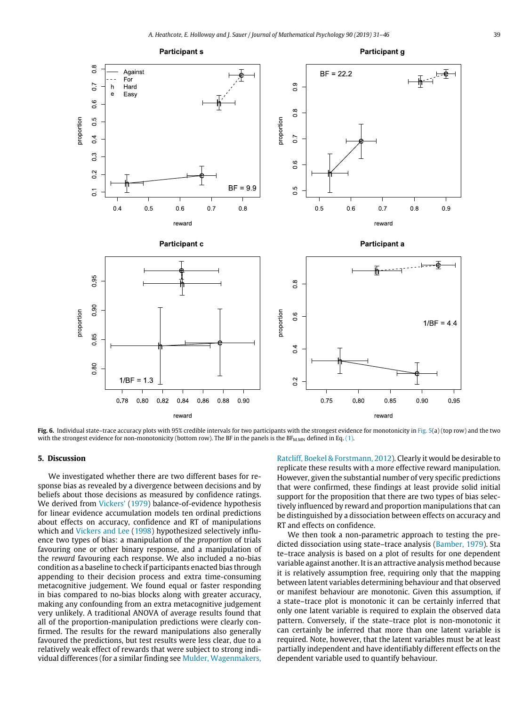

Fig. 6. Individual state-trace accuracy plots with 95% credible intervals for two participants with the strongest evidence for monotonicity in Fig. 5(a) (top row) and the two with the strongest evidence for non-monotonicity (bottom row). The BF in the panels is the BF<sub>M MN</sub> defined in Eq. (1).

#### **5. Discussion**

We investigated whether there are two different bases for response bias as revealed by a divergence between decisions and by beliefs about those decisions as measured by confidence ratings. We derived from Vickers' (1979) balance-of-evidence hypothesis for linear evidence accumulation models ten ordinal predictions about effects on accuracy, confidence and RT of manipulations which and Vickers and Lee (1998) hypothesized selectively influence two types of bias: a manipulation of the *proportion* of trials favouring one or other binary response, and a manipulation of the *reward* favouring each response. We also included a no-bias condition as a baseline to check if participants enacted bias through appending to their decision process and extra time-consuming metacognitive judgement. We found equal or faster responding in bias compared to no-bias blocks along with greater accuracy, making any confounding from an extra metacognitive judgement very unlikely. A traditional ANOVA of average results found that all of the proportion-manipulation predictions were clearly confirmed. The results for the reward manipulations also generally favoured the predictions, but test results were less clear, due to a relatively weak effect of rewards that were subject to strong individual differences (for a similar finding see Mulder, Wagenmakers, Ratcliff, Boekel & Forstmann, 2012). Clearly it would be desirable to replicate these results with a more effective reward manipulation. However, given the substantial number of very specific predictions that were confirmed, these findings at least provide solid initial support for the proposition that there are two types of bias selectively influenced by reward and proportion manipulations that can be distinguished by a dissociation between effects on accuracy and RT and effects on confidence.

We then took a non-parametric approach to testing the predicted dissociation using state–trace analysis (Bamber, 1979). Sta te–trace analysis is based on a plot of results for one dependent variable against another. It is an attractive analysis method because it is relatively assumption free, requiring only that the mapping between latent variables determining behaviour and that observed or manifest behaviour are monotonic. Given this assumption, if a state–trace plot is monotonic it can be certainly inferred that only one latent variable is required to explain the observed data pattern. Conversely, if the state–trace plot is non-monotonic it can certainly be inferred that more than one latent variable is required. Note, however, that the latent variables must be at least partially independent and have identifiably different effects on the dependent variable used to quantify behaviour.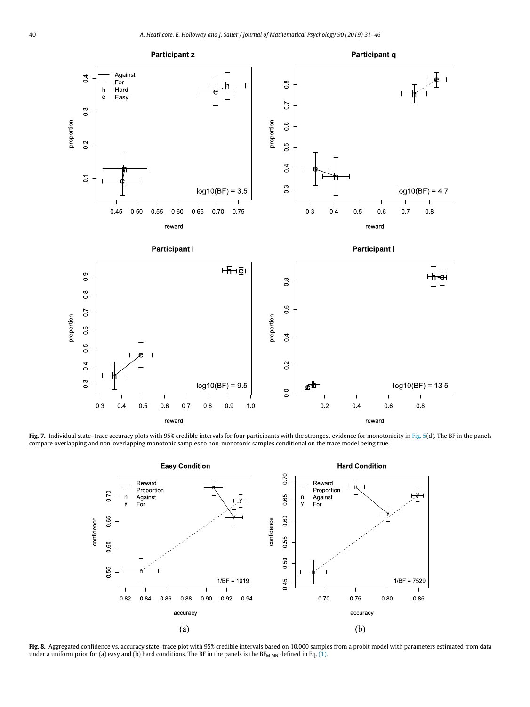

**Fig. 7.** Individual state–trace accuracy plots with 95% credible intervals for four participants with the strongest evidence for monotonicity in Fig. 5(d). The BF in the panels compare overlapping and non-overlapping monotonic samples to non-monotonic samples conditional on the trace model being true.



**Fig. 8.** Aggregated confidence vs. accuracy state–trace plot with 95% credible intervals based on 10,000 samples from a probit model with parameters estimated from data under a uniform prior for (a) easy and (b) hard conditions. The BF in the panels is the BF $_{\rm M,MN}$  defined in Eq. (1).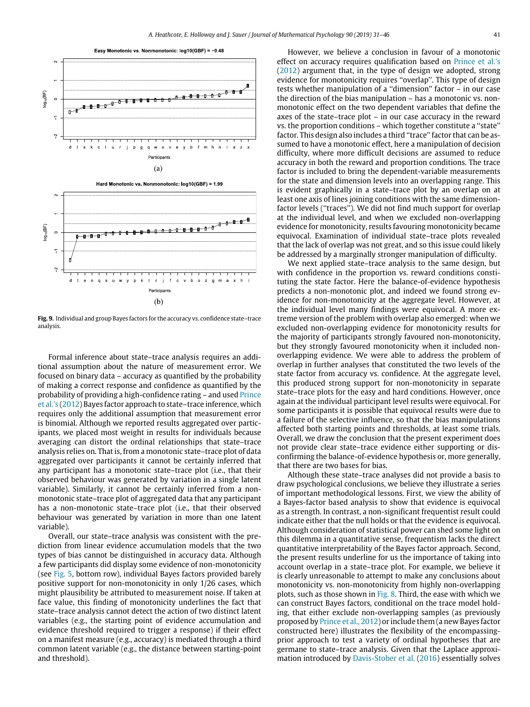



**Fig. 9.** Individual and group Bayes factors for the accuracy vs. confidence state–trace analysis.

Formal inference about state–trace analysis requires an additional assumption about the nature of measurement error. We focused on binary data – accuracy as quantified by the probability of making a correct response and confidence as quantified by the probability of providing a high-confidence rating – and used Prince et al.'s (2012) Bayes factor approach to state–trace inference, which requires only the additional assumption that measurement error is binomial. Although we reported results aggregated over participants, we placed most weight in results for individuals because averaging can distort the ordinal relationships that state–trace analysis relies on. That is, from a monotonic state–trace plot of data aggregated over participants it cannot be certainly inferred that any participant has a monotonic state–trace plot (i.e., that their observed behaviour was generated by variation in a single latent variable). Similarly, it cannot be certainly inferred from a nonmonotonic state–trace plot of aggregated data that any participant has a non-monotonic state–trace plot (i.e., that their observed behaviour was generated by variation in more than one latent variable).

Overall, our state–trace analysis was consistent with the prediction from linear evidence accumulation models that the two types of bias cannot be distinguished in accuracy data. Although a few participants did display some evidence of non-monotonicity (see Fig. 5, bottom row), individual Bayes factors provided barely positive support for non-monotonicity in only 1/26 cases, which might plausibility be attributed to measurement noise. If taken at face value, this finding of monotonicity underlines the fact that state–trace analysis cannot detect the action of two distinct latent variables (e.g., the starting point of evidence accumulation and evidence threshold required to trigger a response) if their effect on a manifest measure (e.g., accuracy) is mediated through a third common latent variable (e.g., the distance between starting-point and threshold).

However, we believe a conclusion in favour of a monotonic effect on accuracy requires qualification based on Prince et al.'s (2012) argument that, in the type of design we adopted, strong evidence for monotonicity requires ''overlap''. This type of design tests whether manipulation of a ''dimension'' factor – in our case the direction of the bias manipulation – has a monotonic vs. nonmonotonic effect on the two dependent variables that define the axes of the state–trace plot – in our case accuracy in the reward vs. the proportion conditions – which together constitute a ''state'' factor. This design also includes a third ''trace'' factor that can be assumed to have a monotonic effect, here a manipulation of decision difficulty, where more difficult decisions are assumed to reduce accuracy in both the reward and proportion conditions. The trace factor is included to bring the dependent-variable measurements for the state and dimension levels into an overlapping range. This is evident graphically in a state–trace plot by an overlap on at least one axis of lines joining conditions with the same dimensionfactor levels (''traces''). We did not find much support for overlap at the individual level, and when we excluded non-overlapping evidence for monotonicity, results favouring monotonicity became equivocal. Examination of individual state–trace plots revealed that the lack of overlap was not great, and so this issue could likely be addressed by a marginally stronger manipulation of difficulty.

We next applied state–trace analysis to the same design, but with confidence in the proportion vs. reward conditions constituting the state factor. Here the balance-of-evidence hypothesis predicts a non-monotonic plot, and indeed we found strong evidence for non-monotonicity at the aggregate level. However, at the individual level many findings were equivocal. A more extreme version of the problem with overlap also emerged: when we excluded non-overlapping evidence for monotonicity results for the majority of participants strongly favoured non-monotonicity, but they strongly favoured monotonicity when it included nonoverlapping evidence. We were able to address the problem of overlap in further analyses that constituted the two levels of the state factor from accuracy vs. confidence. At the aggregate level, this produced strong support for non-monotonicity in separate state–trace plots for the easy and hard conditions. However, once again at the individual participant level results were equivocal. For some participants it is possible that equivocal results were due to a failure of the selective influence, so that the bias manipulations affected both starting points and thresholds, at least some trials. Overall, we draw the conclusion that the present experiment does not provide clear state–trace evidence either supporting or disconfirming the balance-of-evidence hypothesis or, more generally, that there are two bases for bias.

Although these state–trace analyses did not provide a basis to draw psychological conclusions, we believe they illustrate a series of important methodological lessons. First, we view the ability of a Bayes-factor based analysis to show that evidence is equivocal as a strength. In contrast, a non-significant frequentist result could indicate either that the null holds or that the evidence is equivocal. Although consideration of statistical power can shed some light on this dilemma in a quantitative sense, frequentism lacks the direct quantitative interpretability of the Bayes factor approach. Second, the present results underline for us the importance of taking into account overlap in a state–trace plot. For example, we believe it is clearly unreasonable to attempt to make any conclusions about monotonicity vs. non-monotonicity from highly non-overlapping plots, such as those shown in Fig. 8. Third, the ease with which we can construct Bayes factors, conditional on the trace model holding, that either exclude non-overlapping samples (as previously proposed by Prince et al., 2012) or include them (a new Bayes factor constructed here) illustrates the flexibility of the encompassingprior approach to test a variety of ordinal hypotheses that are germane to state–trace analysis. Given that the Laplace approximation introduced by Davis-Stober et al. (2016) essentially solves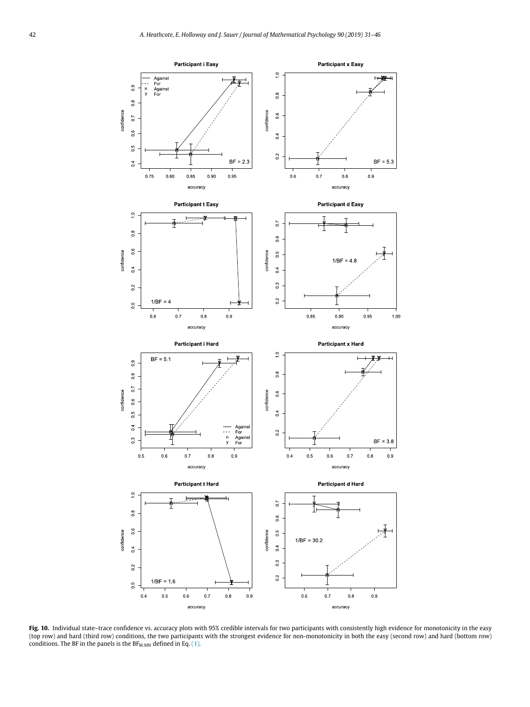

**Fig. 10.** Individual state–trace confidence vs. accuracy plots with 95% credible intervals for two participants with consistently high evidence for monotonicity in the easy (top row) and hard (third row) conditions, the two participants with the strongest evidence for non-monotonicity in both the easy (second row) and hard (bottom row) conditions. The BF in the panels is the  $BF_{M,MN}$  defined in Eq. (1).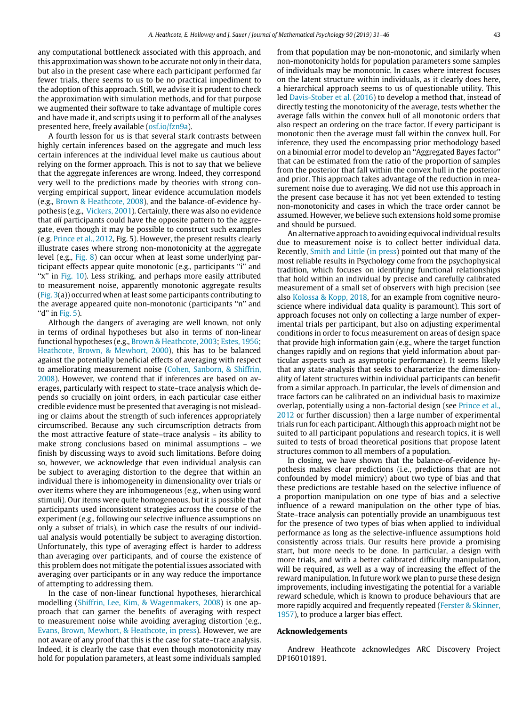any computational bottleneck associated with this approach, and this approximation was shown to be accurate not only in their data, but also in the present case where each participant performed far fewer trials, there seems to us to be no practical impediment to the adoption of this approach. Still, we advise it is prudent to check the approximation with simulation methods, and for that purpose we augmented their software to take advantage of multiple cores and have made it, and scripts using it to perform all of the analyses presented here, freely available [\(osf.io/fzn9a](http://osf.io/fzn9a)).

A fourth lesson for us is that several stark contrasts between highly certain inferences based on the aggregate and much less certain inferences at the individual level make us cautious about relying on the former approach. This is not to say that we believe that the aggregate inferences are wrong. Indeed, they correspond very well to the predictions made by theories with strong converging empirical support, linear evidence accumulation models (e.g., Brown & Heathcote, 2008), and the balance-of-evidence hypothesis (e.g., Vickers, 2001). Certainly, there was also no evidence that *all* participants could have the opposite pattern to the aggregate, even though it may be possible to construct such examples (e.g. Prince et al., 2012, Fig. 5). However, the present results clearly illustrate cases where strong non-monotonicity at the aggregate level (e.g., Fig. 8) can occur when at least some underlying participant effects appear quite monotonic (e.g., participants ''i'' and "x" in Fig. 10). Less striking, and perhaps more easily attributed to measurement noise, apparently monotonic aggregate results (Fig. 3(a)) occurred when at least some participants contributing to the average appeared quite non-monotonic (participants ''n'' and " $d$ " in Fig.  $5$ ).

Although the dangers of averaging are well known, not only in terms of ordinal hypotheses but also in terms of non-linear functional hypotheses (e.g., Brown & Heathcote, 2003; Estes, 1956; Heathcote, Brown, & Mewhort, 2000), this has to be balanced against the potentially beneficial effects of averaging with respect to ameliorating measurement noise (Cohen, Sanborn, & Shiffrin, 2008). However, we contend that if inferences are based on averages, particularly with respect to state–trace analysis which depends so crucially on joint orders, in each particular case either credible evidence must be presented that averaging is not misleading or claims about the strength of such inferences appropriately circumscribed. Because any such circumscription detracts from the most attractive feature of state–trace analysis – its ability to make strong conclusions based on minimal assumptions – we finish by discussing ways to avoid such limitations. Before doing so, however, we acknowledge that even individual analysis can be subject to averaging distortion to the degree that within an individual there is inhomogeneity in dimensionality over trials or over items where they are inhomogeneous (e.g., when using word stimuli). Our items were quite homogeneous, but it is possible that participants used inconsistent strategies across the course of the experiment (e.g., following our selective influence assumptions on only a subset of trials), in which case the results of our individual analysis would potentially be subject to averaging distortion. Unfortunately, this type of averaging effect is harder to address than averaging over participants, and of course the existence of this problem does not mitigate the potential issues associated with averaging over participants or in any way reduce the importance of attempting to addressing them.

In the case of non-linear functional hypotheses, hierarchical modelling (Shiffrin, Lee, Kim, & Wagenmakers, 2008) is one approach that can garner the benefits of averaging with respect to measurement noise while avoiding averaging distortion (e.g., Evans, Brown, Mewhort, & Heathcote, in press). However, we are not aware of any proof that this is the case for state–trace analysis. Indeed, it is clearly the case that even though monotonicity may hold for population parameters, at least some individuals sampled from that population may be non-monotonic, and similarly when non-monotonicity holds for population parameters some samples of individuals may be monotonic. In cases where interest focuses on the latent structure within individuals, as it clearly does here, a hierarchical approach seems to us of questionable utility. This led Davis-Stober et al. (2016) to develop a method that, instead of directly testing the monotonicity of the average, tests whether the average falls within the convex hull of all monotonic orders that also respect an ordering on the trace factor. If every participant is monotonic then the average must fall within the convex hull. For inference, they used the encompassing prior methodology based on a binomial error model to develop an ''Aggregated Bayes factor'' that can be estimated from the ratio of the proportion of samples from the posterior that fall within the convex hull in the posterior and prior. This approach takes advantage of the reduction in measurement noise due to averaging. We did not use this approach in the present case because it has not yet been extended to testing non-monotonicity and cases in which the trace order cannot be assumed. However, we believe such extensions hold some promise and should be pursued.

An alternative approach to avoiding equivocal individual results due to measurement noise is to collect better individual data. Recently, Smith and Little (in press) pointed out that many of the most reliable results in Psychology come from the psychophysical tradition, which focuses on identifying functional relationships that hold within an individual by precise and carefully calibrated measurement of a small set of observers with high precision (see also Kolossa & Kopp, 2018, for an example from cognitive neuroscience where individual data quality is paramount). This sort of approach focuses not only on collecting a large number of experimental trials per participant, but also on adjusting experimental conditions in order to focus measurement on areas of design space that provide high information gain (e.g., where the target function changes rapidly and on regions that yield information about particular aspects such as asymptotic performance). It seems likely that any state-analysis that seeks to characterize the dimensionality of latent structures within individual participants can benefit from a similar approach. In particular, the levels of dimension and trace factors can be calibrated on an individual basis to maximize overlap, potentially using a non-factorial design (see Prince et al., 2012 or further discussion) then a large number of experimental trials run for each participant. Although this approach might not be suited to all participant populations and research topics, it is well suited to tests of broad theoretical positions that propose latent structures common to all members of a population.

In closing, we have shown that the balance-of-evidence hypothesis makes clear predictions (i.e., predictions that are not confounded by model mimicry) about two type of bias and that these predictions are testable based on the selective influence of a proportion manipulation on one type of bias and a selective influence of a reward manipulation on the other type of bias. State–trace analysis can potentially provide an unambiguous test for the presence of two types of bias when applied to individual performance as long as the selective-influence assumptions hold consistently across trials. Our results here provide a promising start, but more needs to be done. In particular, a design with more trials, and with a better calibrated difficulty manipulation, will be required, as well as a way of increasing the effect of the reward manipulation. In future work we plan to purse these design improvements, including investigating the potential for a variable reward schedule, which is known to produce behaviours that are more rapidly acquired and frequently repeated (Ferster & Skinner, 1957), to produce a larger bias effect.

#### **Acknowledgements**

Andrew Heathcote acknowledges ARC Discovery Project DP160101891.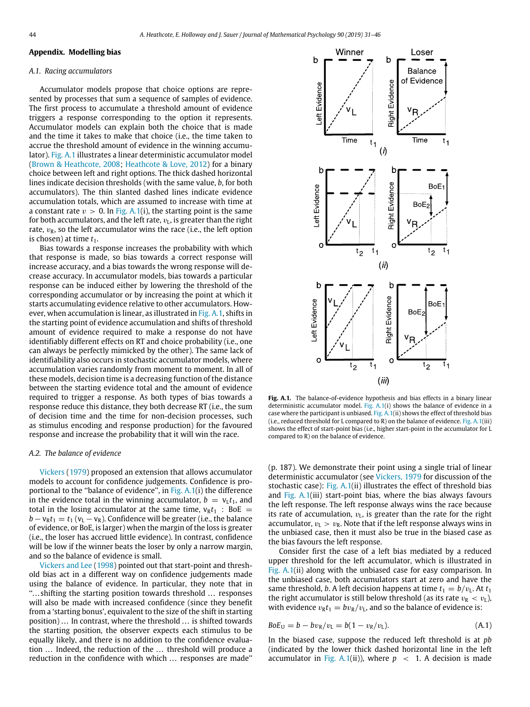# **Appendix. Modelling bias**

#### *A.1. Racing accumulators*

Accumulator models propose that choice options are represented by processes that sum a sequence of samples of evidence. The first process to accumulate a threshold amount of evidence triggers a response corresponding to the option it represents. Accumulator models can explain both the choice that is made and the time it takes to make that choice (i.e., the time taken to accrue the threshold amount of evidence in the winning accumulator). Fig. A.1 illustrates a linear deterministic accumulator model (Brown & Heathcote, 2008; Heathcote & Love, 2012) for a binary choice between left and right options. The thick dashed horizontal lines indicate decision thresholds (with the same value, *b*, for both accumulators). The thin slanted dashed lines indicate evidence accumulation totals, which are assumed to increase with time at a constant rate  $v > 0$ . In Fig. A.1(i), the starting point is the same for both accumulators, and the left rate,  $v_L$ , is greater than the right rate,  $v_{R}$ , so the left accumulator wins the race (i.e., the left option is chosen) at time  $t_1$ .

Bias towards a response increases the probability with which that response is made, so bias towards a correct response will increase accuracy, and a bias towards the wrong response will decrease accuracy. In accumulator models, bias towards a particular response can be induced either by lowering the threshold of the corresponding accumulator or by increasing the point at which it starts accumulating evidence relative to other accumulators. However, when accumulation is linear, as illustrated in Fig. A.1, shifts in the starting point of evidence accumulation and shifts of threshold amount of evidence required to make a response do not have identifiably different effects on RT and choice probability (i.e., one can always be perfectly mimicked by the other). The same lack of identifiability also occurs in stochastic accumulator models, where accumulation varies randomly from moment to moment. In all of these models, decision time is a decreasing function of the distance between the starting evidence total and the amount of evidence required to trigger a response. As both types of bias towards a response reduce this distance, they both decrease RT (i.e., the sum of decision time and the time for non-decision processes, such as stimulus encoding and response production) for the favoured response and increase the probability that it will win the race.

#### *A.2. The balance of evidence*

Vickers (1979) proposed an extension that allows accumulator models to account for confidence judgements. Confidence is proportional to the "balance of evidence", in Fig. A.1(i) the difference in the evidence total in the winning accumulator,  $b = v_L t_1$ , and total in the losing accumulator at the same time,  $v_R t_1$  : BoE =  $b - v_R t_1 = t_1 (v_L - v_R)$ . Confidence will be greater (i.e., the balance of evidence, or BoE, is larger) when the margin of the loss is greater (i.e., the loser has accrued little evidence). In contrast, confidence will be low if the winner beats the loser by only a narrow margin, and so the balance of evidence is small.

Vickers and Lee (1998) pointed out that start-point and threshold bias act in a different way on confidence judgements made using the balance of evidence. In particular, they note that in "...shifting the starting position towards threshold ... responses will also be made with increased confidence (since they benefit from a 'starting bonus', equivalent to the size of the shift in starting position) ... In contrast, where the threshold ... is shifted towards the starting position, the observer expects each stimulus to be equally likely, and there is no addition to the confidence evaluation ... Indeed, the reduction of the ... threshold will produce a reduction in the confidence with which ... responses are made"



Fig. A.1. The balance-of-evidence hypothesis and bias effects in a binary linear deterministic accumulator model. Fig. A.1(i) shows the balance of evidence in a case where the participant is unbiased. Fig. A.1(ii) shows the effect of threshold bias (i.e., reduced threshold for L compared to  $R$ ) on the balance of evidence. Fig. A.1(iii) shows the effect of start-point bias (i.e., higher start-point in the accumulator for L compared to R) on the balance of evidence.

(p. 187). We demonstrate their point using a single trial of linear deterministic accumulator (see Vickers, 1979 for discussion of the stochastic case): Fig. A.1(ii) illustrates the effect of threshold bias and Fig. A.1(iii) start-point bias, where the bias always favours the left response. The left response always wins the race because its rate of accumulation,  $v_L$ , is greater than the rate for the right accumulator,  $v_L > v_R$ . Note that if the left response always wins in the unbiased case, then it must also be true in the biased case as the bias favours the left response.

Consider first the case of a left bias mediated by a reduced upper threshold for the left accumulator, which is illustrated in Fig. A.1(ii) along with the unbiased case for easy comparison. In the unbiased case, both accumulators start at zero and have the same threshold, *b*. A left decision happens at time  $t_1 = b/v_1$ . At  $t_1$ the right accumulator is still below threshold (as its rate  $v_R < v_L$ ), with evidence  $v_R t_1 = b v_R/v_L$ , and so the balance of evidence is:

$$
BoE_{U} = b - bv_{R}/v_{L} = b(1 - v_{R}/v_{L}).
$$
\n(A.1)

In the biased case, suppose the reduced left threshold is at *pb* (indicated by the lower thick dashed horizontal line in the left accumulator in Fig. A.1(ii)), where  $p \leq 1$ . A decision is made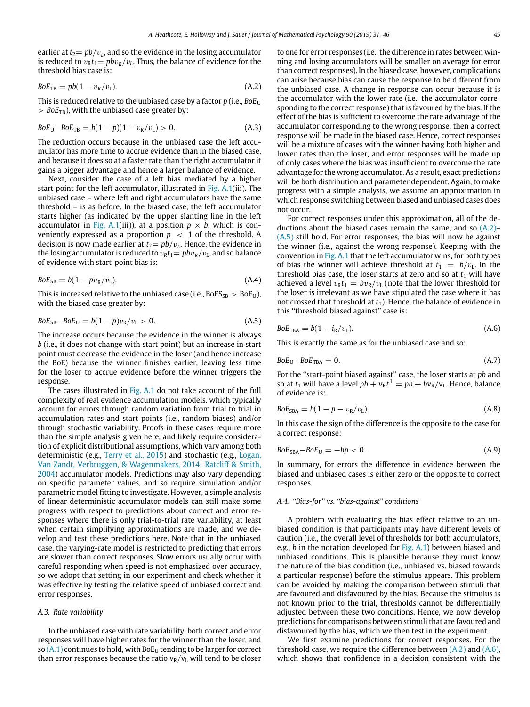earlier at  $t_2 = pb/v_L$ , and so the evidence in the losing accumulator is reduced to  $v_{R}t_{1} = pbv_{R}/v_{L}$ . Thus, the balance of evidence for the threshold bias case is:

$$
BoE_{\text{TB}} = pb(1 - v_{\text{R}}/v_{\text{L}}). \tag{A.2}
$$

This is reduced relative to the unbiased case by a factor *p* (i.e., *BoE*<sup>U</sup>  $>$  *BoE*<sub>TB</sub>), with the unbiased case greater by:

$$
BoE_{U} - BoE_{TB} = b(1 - p)(1 - v_{R}/v_{L}) > 0.
$$
 (A.3)

The reduction occurs because in the unbiased case the left accumulator has more time to accrue evidence than in the biased case, and because it does so at a faster rate than the right accumulator it gains a bigger advantage and hence a larger balance of evidence.

Next, consider the case of a left bias mediated by a higher start point for the left accumulator, illustrated in Fig. A.1(iii). The unbiased case – where left and right accumulators have the same threshold – is as before. In the biased case, the left accumulator starts higher (as indicated by the upper slanting line in the left accumulator in Fig. A.1(iii)), at a position  $p \times b$ , which is conveniently expressed as a proportion  $p < 1$  of the threshold. A decision is now made earlier at  $t_2 = pb/v_L$ . Hence, the evidence in the losing accumulator is reduced to  $v_R t_1 = p b v_R/v_L$ , and so balance of evidence with start-point bias is:

$$
BoE_{SB} = b(1 - pv_R/v_L). \tag{A.4}
$$

This is increased relative to the unbiased case (i.e.,  $BoES_{SB} > BoE_U$ ), with the biased case greater by:

$$
BoE_{SB} - BoE_U = b(1 - p)v_R/v_L > 0.
$$
 (A.5)

The increase occurs because the evidence in the winner is always *b* (i.e., it does not change with start point) but an increase in start point must decrease the evidence in the loser (and hence increase the BoE) because the winner finishes earlier, leaving less time for the loser to accrue evidence before the winner triggers the response.

The cases illustrated in Fig. A.1 do not take account of the full complexity of real evidence accumulation models, which typically account for errors through random variation from trial to trial in accumulation rates and start points (i.e., random biases) and/or through stochastic variability. Proofs in these cases require more than the simple analysis given here, and likely require consideration of explicit distributional assumptions, which vary among both deterministic (e.g., Terry et al., 2015) and stochastic (e.g., Logan, Van Zandt, Verbruggen, & Wagenmakers, 2014; Ratcliff & Smith, 2004) accumulator models. Predictions may also vary depending on specific parameter values, and so require simulation and/or parametric model fitting to investigate. However, a simple analysis of linear deterministic accumulator models can still make some progress with respect to predictions about correct and error responses where there is only trial-to-trial rate variability, at least when certain simplifying approximations are made, and we develop and test these predictions here. Note that in the unbiased case, the varying-rate model is restricted to predicting that errors are slower than correct responses. Slow errors usually occur with careful responding when speed is not emphasized over accuracy, so we adopt that setting in our experiment and check whether it was effective by testing the relative speed of unbiased correct and error responses.

#### *A.3. Rate variability*

In the unbiased case with rate variability, both correct and error responses will have higher rates for the winner than the loser, and so  $(A.1)$  continues to hold, with BoE<sub>U</sub> tending to be larger for correct than error responses because the ratio  $v_R/v_L$  will tend to be closer to one for error responses (i.e., the difference in rates between winning and losing accumulators will be smaller on average for error than correct responses). In the biased case, however, complications can arise because bias can cause the response to be different from the unbiased case. A change in response can occur because it is the accumulator with the lower rate (i.e., the accumulator corresponding to the correct response) that is favoured by the bias. If the effect of the bias is sufficient to overcome the rate advantage of the accumulator corresponding to the wrong response, then a correct response will be made in the biased case. Hence, correct responses will be a mixture of cases with the winner having both higher and lower rates than the loser, and error responses will be made up of only cases where the bias was insufficient to overcome the rate advantage for the wrong accumulator. As a result, exact predictions will be both distribution and parameter dependent. Again, to make progress with a simple analysis, we assume an approximation in which response switching between biased and unbiased cases does not occur.

For correct responses under this approximation, all of the deductions about the biased cases remain the same, and so  $(A.2)$ – (A.5) still hold. For error responses, the bias will now be against the winner (i.e., against the wrong response). Keeping with the convention in Fig. A.1 that the left accumulator wins, for both types of bias the winner will achieve threshold at  $t_1 = b/v_L$ . In the threshold bias case, the loser starts at zero and so at  $t_1$  will have achieved a level  $v_R t_1 = b v_R / v_L$  (note that the lower threshold for the loser is irrelevant as we have stipulated the case where it has not crossed that threshold at  $t_1$ ). Hence, the balance of evidence in this ''threshold biased against'' case is:

$$
BoE_{\text{TBA}} = b(1 - i_{\text{R}}/v_{\text{L}}). \tag{A.6}
$$

This is exactly the same as for the unbiased case and so:

$$
BoE_{U} - BoE_{TBA} = 0. \tag{A.7}
$$

For the ''start-point biased against'' case, the loser starts at *pb* and so at  $t_1$  will have a level  $pb + v_R t^1 = pb + bv_R/v_L$ . Hence, balance of evidence is:

$$
BoE_{\rm SBA} = b(1 - p - v_{\rm R}/v_{\rm L}).
$$
\n(A.8)

In this case the sign of the difference is the opposite to the case for a correct response:

$$
BoESBA - BoEU = -bp < 0. \tag{A.9}
$$

In summary, for errors the difference in evidence between the biased and unbiased cases is either zero or the opposite to correct responses.

#### *A.4. ''Bias-for'' vs. ''bias-against'' conditions*

A problem with evaluating the bias effect relative to an unbiased condition is that participants may have different levels of caution (i.e., the overall level of thresholds for both accumulators, e.g., *b* in the notation developed for Fig. A.1) between biased and unbiased conditions. This is plausible because they must know the nature of the bias condition (i.e., unbiased vs. biased towards a particular response) before the stimulus appears. This problem can be avoided by making the comparison between stimuli that are favoured and disfavoured by the bias. Because the stimulus is not known prior to the trial, thresholds cannot be differentially adjusted between these two conditions. Hence, we now develop predictions for comparisons between stimuli that are favoured and disfavoured by the bias, which we then test in the experiment.

We first examine predictions for correct responses. For the threshold case, we require the difference between  $(A.2)$  and  $(A.6)$ , which shows that confidence in a decision consistent with the